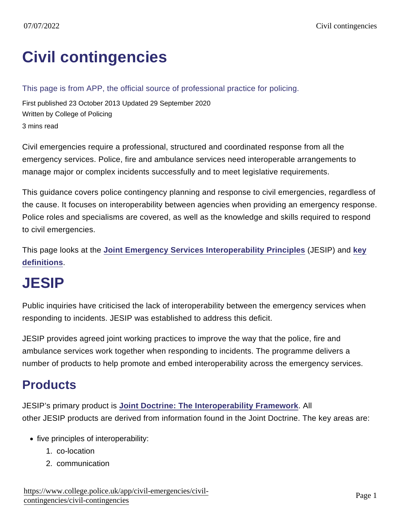# [Civil contingencies](https://www.college.police.uk/app/civil-emergencies/civil-contingencies/civil-contingencies)

#### This page is from APP, the official source of professional practice for policing.

First published 23 October 2013 Updated 29 September 2020 Written by College of Policing 3 mins read

Civil emergencies require a professional, structured and coordinated response from all the emergency services. Police, fire and ambulance services need interoperable arrangements to manage major or complex incidents successfully and to meet legislative requirements.

This guidance covers police contingency planning and response to civil emergencies, regardless of the cause. It focuses on interoperability between agencies when providing an emergency response. Police roles and specialisms are covered, as well as the knowledge and skills required to respond to civil emergencies.

This page looks at the [Joint Emergency Services Interoperability Principles](http://www.jesip.org.uk/home) (JESIP) and [key](https://www.app.college.police.uk/app-content/civil-emergencies/civil-contingencies/#definitions) [definitions](https://www.app.college.police.uk/app-content/civil-emergencies/civil-contingencies/#definitions) .

## JESIP

Public inquiries have criticised the lack of interoperability between the emergency services when responding to incidents. JESIP was established to address this deficit.

JESIP provides agreed joint working practices to improve the way that the police, fire and ambulance services work together when responding to incidents. The programme delivers a number of products to help promote and embed interoperability across the emergency services.

### **Products**

JESIP's primary product is [Joint Doctrine: The Interoperability Framework](http://www.jesip.org.uk/home) . All other JESIP products are derived from information found in the Joint Doctrine. The key areas are:

- five principles of interoperability:
	- 1. co-location
	- 2. communication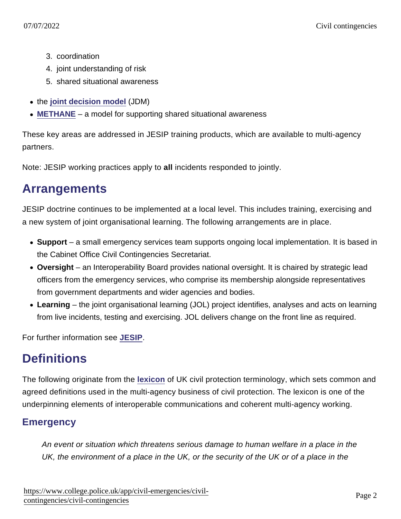- 3. coordination
- 4. joint understanding of risk
- 5. shared situational awareness
- the [joint decision model](https://www.app.college.police.uk/app-content/civil-emergencies/civil-contingencies/command-control-and-coordination/#joint-decision-model-jdm) (JDM)
- [METHANE](https://www.app.college.police.uk/app-content/civil-emergencies/civil-contingencies/command-control-and-coordination/#methane-situation-report) a model for supporting shared situational awareness

These key areas are addressed in JESIP training products, which are available to multi-agency partners.

Note: JESIP working practices apply to all incidents responded to jointly.

### **Arrangements**

JESIP doctrine continues to be implemented at a local level. This includes training, exercising and a new system of joint organisational learning. The following arrangements are in place.

- Support a small emergency services team supports ongoing local implementation. It is based in the Cabinet Office Civil Contingencies Secretariat.
- Oversight an Interoperability Board provides national oversight. It is chaired by strategic lead officers from the emergency services, who comprise its membership alongside representatives from government departments and wider agencies and bodies.
- Learning the joint organisational learning (JOL) project identifies, analyses and acts on learning from live incidents, testing and exercising. JOL delivers change on the front line as required.

For further information see [JESIP.](http://www.jesip.org.uk/)

## **Definitions**

The following originate from the [lexicon](https://www.gov.uk/government/publications/emergency-responder-interoperability-lexicon) of UK civil protection terminology, which sets common and agreed definitions used in the multi-agency business of civil protection. The lexicon is one of the underpinning elements of interoperable communications and coherent multi-agency working.

### **Emergency**

An event or situation which threatens serious damage to human welfare in a place in the UK, the environment of a place in the UK, or the security of the UK or of a place in the